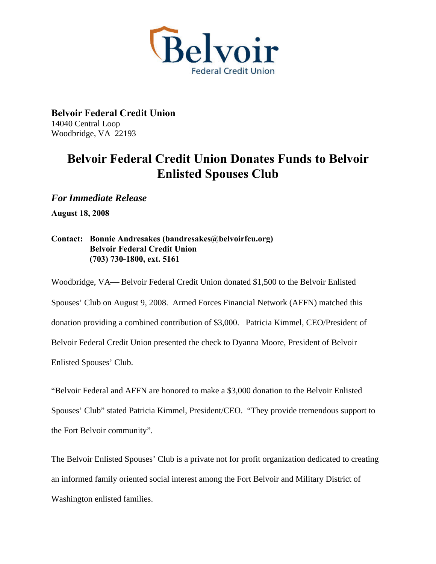

**Belvoir Federal Credit Union**  14040 Central Loop Woodbridge, VA 22193

## **Belvoir Federal Credit Union Donates Funds to Belvoir Enlisted Spouses Club**

*For Immediate Release* 

**August 18, 2008** 

## **Contact: Bonnie Andresakes (bandresakes@belvoirfcu.org) Belvoir Federal Credit Union (703) 730-1800, ext. 5161**

Woodbridge, VA— Belvoir Federal Credit Union donated \$1,500 to the Belvoir Enlisted Spouses' Club on August 9, 2008. Armed Forces Financial Network (AFFN) matched this donation providing a combined contribution of \$3,000. Patricia Kimmel, CEO/President of Belvoir Federal Credit Union presented the check to Dyanna Moore, President of Belvoir Enlisted Spouses' Club.

"Belvoir Federal and AFFN are honored to make a \$3,000 donation to the Belvoir Enlisted Spouses' Club" stated Patricia Kimmel, President/CEO. "They provide tremendous support to the Fort Belvoir community".

The Belvoir Enlisted Spouses' Club is a private not for profit organization dedicated to creating an informed family oriented social interest among the Fort Belvoir and Military District of Washington enlisted families.